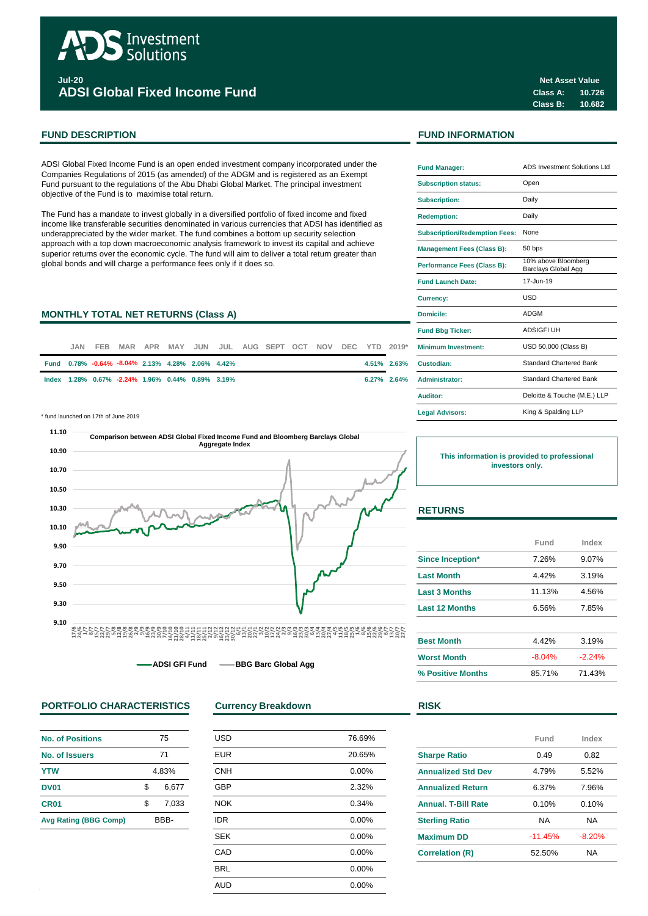

**Jul-20 ADSI Global Fixed Income Fund**

ADSI Global Fixed Income Fund is an open ended investment company incorporated under the Companies Regulations of 2015 (as amended) of the ADGM and is registered as an Exempt Fund pursuant to the regulations of the Abu Dhabi Global Market. The principal investment objective of the Fund is to maximise total return.

The Fund has a mandate to invest globally in a diversified portfolio of fixed income and fixed income like transferable securities denominated in various currencies that ADSI has identified as underappreciated by the wider market. The fund combines a bottom up security selection approach with a top down macroeconomic analysis framework to invest its capital and achieve superior returns over the economic cycle. The fund will aim to deliver a total return greater than global bonds and will charge a performance fees only if it does so.

#### **MONTHLY TOTAL NET RETURNS (Class A)**

| JAN. |                                                  |  |  | FEB MAR APR MAY JUN JUL AUG SEPT OCT NOV DEC YTD 2019* |  |  | <b>Minimum Investment:</b> |
|------|--------------------------------------------------|--|--|--------------------------------------------------------|--|--|----------------------------|
|      | Fund 0.78% -0.64% -8.04% 2.13% 4.28% 2.06% 4.42% |  |  |                                                        |  |  | 4.51% 2.63% Custodian:     |
|      | lndex 1.28% 0.67% -2.24% 1.96% 0.44% 0.89% 3.19% |  |  |                                                        |  |  | 6.27% 2.64% Administrator: |

\* fund launched on 17th of June 2019 **Legal Advisors:**



**ADSI GFI Fund 
<br>
BBG Barc Global Agg** 

### **PORTFOLIO CHARACTERISTICS Currency Breakdown R**

| <b>No. of Positions</b>      | 75    |       |  |  |
|------------------------------|-------|-------|--|--|
| No. of Issuers               | 71    |       |  |  |
| <b>YTW</b>                   | 4.83% |       |  |  |
| <b>DV01</b>                  | \$    | 6,677 |  |  |
| CR <sub>01</sub>             | \$.   | 7.033 |  |  |
| <b>Avg Rating (BBG Comp)</b> |       | BBB-  |  |  |

| <b>USD</b> | 76.69% |
|------------|--------|
| <b>EUR</b> | 20.65% |
| <b>CNH</b> | 0.00%  |
| <b>GBP</b> | 2.32%  |
| <b>NOK</b> | 0.34%  |
| <b>IDR</b> | 0.00%  |
| <b>SEK</b> | 0.00%  |
| CAD        | 0.00%  |
| <b>BRL</b> | 0.00%  |
| <b>AUD</b> | 0.00%  |
|            |        |

## **FUND DESCRIPTION FUND INFORMATION**

| <b>Fund Manager:</b>                 | ADS Investment Solutions Ltd               |  |  |  |  |
|--------------------------------------|--------------------------------------------|--|--|--|--|
| <b>Subscription status:</b>          | Open                                       |  |  |  |  |
| <b>Subscription:</b>                 | Daily                                      |  |  |  |  |
| <b>Redemption:</b>                   | Daily                                      |  |  |  |  |
| <b>Subscription/Redemption Fees:</b> | None                                       |  |  |  |  |
| <b>Management Fees (Class B):</b>    | 50 bps                                     |  |  |  |  |
| Performance Fees (Class B):          | 10% above Bloomberg<br>Barclays Global Agg |  |  |  |  |
| <b>Fund Launch Date:</b>             | 17-Jun-19                                  |  |  |  |  |
| Currency:                            | <b>USD</b>                                 |  |  |  |  |
| Domicile:                            | ADGM                                       |  |  |  |  |
| <b>Fund Bbg Ticker:</b>              | <b>ADSIGFI UH</b>                          |  |  |  |  |
| <b>Minimum Investment:</b>           | USD 50,000 (Class B)                       |  |  |  |  |
| Custodian:                           | Standard Chartered Bank                    |  |  |  |  |
| <b>Administrator:</b>                | <b>Standard Chartered Bank</b>             |  |  |  |  |
| Auditor:                             | Deloitte & Touche (M.E.) LLP               |  |  |  |  |
| <b>Legal Advisors:</b>               | King & Spalding LLP                        |  |  |  |  |

**This information is provided to professional investors only.**

## **RETURNS**

|                         | Fund     | Index    |
|-------------------------|----------|----------|
| <b>Since Inception*</b> | 7.26%    | 9.07%    |
| <b>Last Month</b>       | 4.42%    | 3.19%    |
| <b>Last 3 Months</b>    | 11.13%   | 4.56%    |
| <b>Last 12 Months</b>   | 6.56%    | 7.85%    |
|                         |          |          |
| <b>Best Month</b>       | 4.42%    | 3.19%    |
| <b>Worst Month</b>      | $-8.04%$ | $-2.24%$ |
| % Positive Months       | 85.71%   | 71.43%   |

|  | M.<br>۰. |  |  |
|--|----------|--|--|
|  |          |  |  |

|                           | Fund      | Index     |
|---------------------------|-----------|-----------|
| <b>Sharpe Ratio</b>       | 0.49      | 0.82      |
| <b>Annualized Std Dev</b> | 4.79%     | 5.52%     |
| <b>Annualized Return</b>  | 6.37%     | 7.96%     |
| Annual, T-Bill Rate       | 0.10%     | 0.10%     |
| <b>Sterling Ratio</b>     | ΝA        | NA        |
| <b>Maximum DD</b>         | $-11.45%$ | $-8.20%$  |
| <b>Correlation (R)</b>    | 52.50%    | <b>NA</b> |